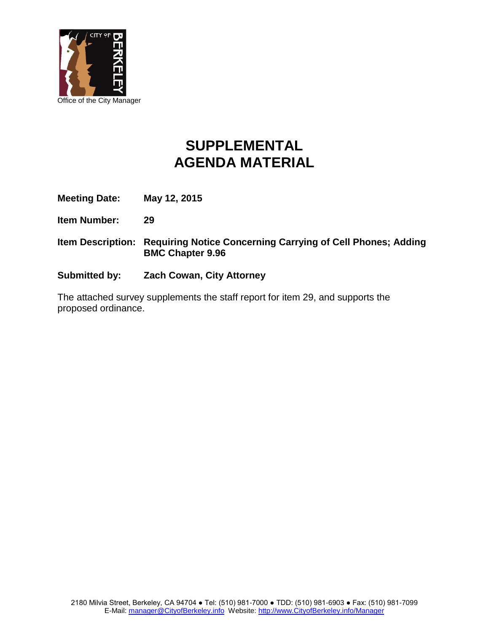

## **SUPPLEMENTAL AGENDA MATERIAL**

**Meeting Date: May 12, 2015**

**Item Number: 29**

- **Item Description: Requiring Notice Concerning Carrying of Cell Phones; Adding BMC Chapter 9.96**
- **Submitted by: Zach Cowan, City Attorney**

The attached survey supplements the staff report for item 29, and supports the proposed ordinance.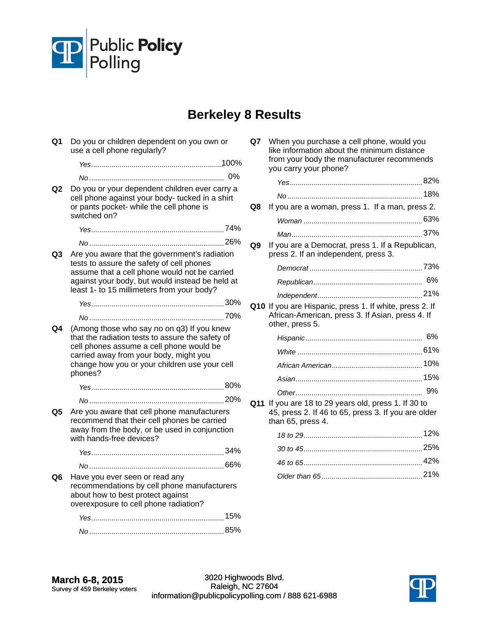

## **Berkeley 8 Results**

**Q1** Do you or children dependent on you own or use a cell phone regularly? *Yes* 100% .................................................................. *No* 0% ................................................................... **Q2** Do you or your dependent children ever carry a cell phone against your body- tucked in a shirt or pants pocket- while the cell phone is switched on? *Yes* 74% .................................................................. *No* 26% ................................................................... **Q3** Are you aware that the government's radiation tests to assure the safety of cell phones assume that a cell phone would not be carried against your body, but would instead be held at least 1- to 15 millimeters from your body? *Yes* 30% .................................................................. *No* 70% ................................................................... **Q4** (Among those who say no on q3) If you knew that the radiation tests to assure the safety of cell phones assume a cell phone would be carried away from your body, might you change how you or your children use your cell phones? *Yes* 80% .................................................................. *No* 20% ................................................................... **Q5** Are you aware that cell phone manufacturers recommend that their cell phones be carried away from the body, or be used in conjunction with hands-free devices? *Yes* 34% .................................................................. *No* 66% ................................................................... **Q6** Have you ever seen or read any recommendations by cell phone manufacturers about how to best protect against overexposure to cell phone radiation? *Yes* 15% .................................................................. *No* 85% ...................................................................

| Q7 | When you purchase a cell phone, would you<br>like information about the minimum distance<br>from your body the manufacturer recommends<br>you carry your phone? |     |
|----|-----------------------------------------------------------------------------------------------------------------------------------------------------------------|-----|
|    |                                                                                                                                                                 |     |
|    |                                                                                                                                                                 |     |
| Q8 | If you are a woman, press 1. If a man, press 2.                                                                                                                 |     |
|    |                                                                                                                                                                 |     |
|    |                                                                                                                                                                 |     |
| Q9 | If you are a Democrat, press 1. If a Republican,<br>press 2. If an independent, press 3.                                                                        |     |
|    |                                                                                                                                                                 |     |
|    |                                                                                                                                                                 |     |
|    |                                                                                                                                                                 |     |
|    | Q10 If you are Hispanic, press 1. If white, press 2. If<br>African-American, press 3. If Asian, press 4. If<br>other, press 5.                                  |     |
|    |                                                                                                                                                                 |     |
|    |                                                                                                                                                                 |     |
|    |                                                                                                                                                                 |     |
|    |                                                                                                                                                                 |     |
|    |                                                                                                                                                                 |     |
|    | Q11 If you are 18 to 29 years old, press 1. If 30 to<br>45, press 2. If 46 to 65, press 3. If you are older<br>than 65, press 4.                                |     |
|    |                                                                                                                                                                 |     |
|    |                                                                                                                                                                 |     |
|    |                                                                                                                                                                 |     |
|    | Older than 65                                                                                                                                                   | 21% |

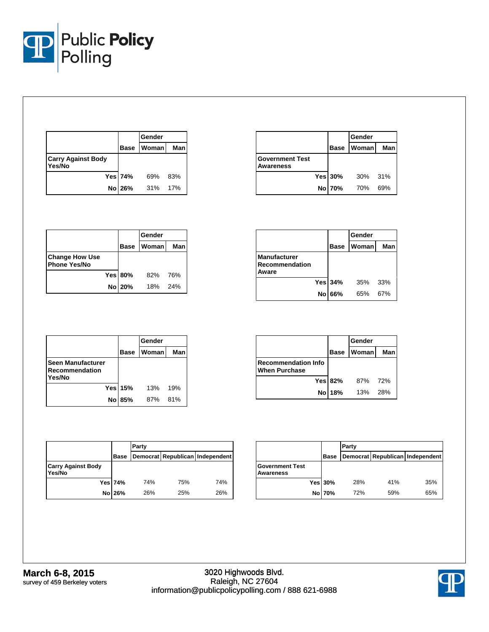

|                                     |             | Gender       |     |
|-------------------------------------|-------------|--------------|-----|
|                                     | <b>Base</b> | <b>Woman</b> | Man |
| <b>Carry Against Body</b><br>Yes/No |             |              |     |
|                                     | Yes 74%     | 69%          | 83% |
|                                     | No 26%      | 31%          | 17% |

|                                     |         | Gender            |       |
|-------------------------------------|---------|-------------------|-------|
|                                     |         | <b>Base Woman</b> | Man   |
| <b>Government Test</b><br>Awareness |         |                   |       |
|                                     | Yes 30% | 30%               | - 31% |
|                                     | No 70%  | 70%               | 69%   |

|                                              |                | lGender      |      |
|----------------------------------------------|----------------|--------------|------|
|                                              | <b>Base</b>    | <b>Woman</b> | Manl |
| <b>Change How Use</b><br><b>Phone Yes/No</b> |                |              |      |
|                                              | <b>Yes 80%</b> | 82%          | 76%  |
|                                              | No 20%         | 18%          | 24%  |

|                                                       |    |             | Gender       |     |
|-------------------------------------------------------|----|-------------|--------------|-----|
|                                                       |    | <b>Base</b> | <b>Woman</b> | Man |
| <b>Manufacturer</b><br><b>Recommendation</b><br>Aware |    |             |              |     |
|                                                       |    | Yes 34%     | 35%          | 33% |
|                                                       | No | 66%         | 65%          | 67% |

|                                                      |    |                | Gender |     |
|------------------------------------------------------|----|----------------|--------|-----|
|                                                      |    | <b>Base</b>    | Woman  | Man |
| <b>Seen Manufacturer</b><br>Recommendation<br>Yes/No |    |                |        |     |
|                                                      |    | <b>Yes 15%</b> | 13%    | 19% |
|                                                      | No | 85%            | 87%    | 81% |

|                                                    |                | Gender |     |
|----------------------------------------------------|----------------|--------|-----|
|                                                    | <b>Base</b>    | Womanl | Man |
| <b>Recommendation Info</b><br><b>When Purchase</b> |                |        |     |
|                                                    | <b>Yes 82%</b> | 87%    | 72% |
|                                                    | No 18%         | 13%    | 28% |

|                                     |             | Party |     |                                 |  |
|-------------------------------------|-------------|-------|-----|---------------------------------|--|
|                                     | <b>Base</b> |       |     | Democrat Republican Independent |  |
| <b>Carry Against Body</b><br>Yes/No |             |       |     |                                 |  |
|                                     | Yes 74%     | 74%   | 75% | 74%                             |  |
|                                     | No 26%      | 26%   | 25% | 26%                             |  |

|                                     |             | Party |     |                                 |
|-------------------------------------|-------------|-------|-----|---------------------------------|
|                                     | <b>Base</b> |       |     | Democrat Republican Independent |
| <b>Government Test</b><br>Awareness |             |       |     |                                 |
|                                     | Yes 30%     | 28%   | 41% | 35%                             |
|                                     | No 70%      | 72%   | 59% | 65%                             |

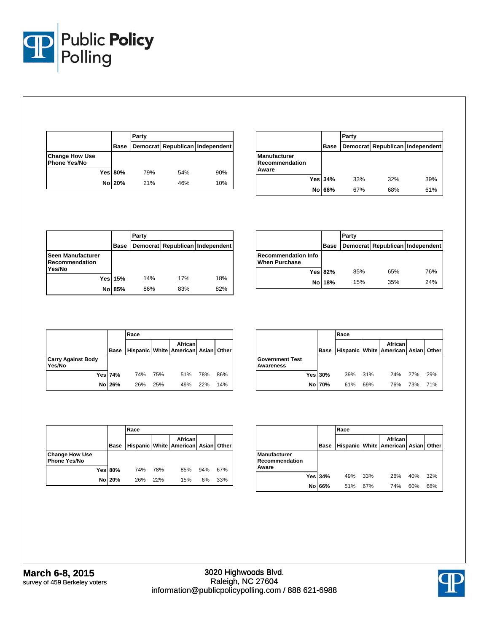

|                                       |                | Party |     |                                 |
|---------------------------------------|----------------|-------|-----|---------------------------------|
|                                       | <b>Base</b>    |       |     | Democrat Republican Independent |
| <b>Change How Use</b><br>Phone Yes/No |                |       |     |                                 |
|                                       | <b>Yes 80%</b> | 79%   | 54% | 90%                             |
|                                       | No 20%         | 21%   | 46% | 10%                             |

|                                                |                | Party |     |                                 |
|------------------------------------------------|----------------|-------|-----|---------------------------------|
|                                                | Base           |       |     | Democrat Republican Independent |
| <b>Manufacturer</b><br>Recommendation<br>Aware |                |       |     |                                 |
|                                                | <b>Yes 34%</b> | 33%   | 32% | 39%                             |
|                                                | 66%<br>No      | 67%   | 68% | 61%                             |

|                                               |             | Party |     |                                 |  |
|-----------------------------------------------|-------------|-------|-----|---------------------------------|--|
|                                               | <b>Base</b> |       |     | Democrat Republican Independent |  |
| Seen Manufacturer<br>Recommendation<br>Yes/No |             |       |     |                                 |  |
|                                               | Yes 15%     | 14%   | 17% | 18%                             |  |
| No l                                          | 85%         | 86%   | 83% | 82%                             |  |

|                                                    |                | Party |     |                                 |  |  |  |
|----------------------------------------------------|----------------|-------|-----|---------------------------------|--|--|--|
|                                                    | Base           |       |     | Democrat Republican Independent |  |  |  |
| <b>Recommendation Info</b><br><b>When Purchase</b> |                |       |     |                                 |  |  |  |
|                                                    | <b>Yes 82%</b> | 85%   | 65% | 76%                             |  |  |  |
|                                                    | No 18%         | 15%   | 35% | 24%                             |  |  |  |

|                                     |                | Race |                                                       |     |     |     |  |  |  |  |
|-------------------------------------|----------------|------|-------------------------------------------------------|-----|-----|-----|--|--|--|--|
|                                     | <b>Base</b>    |      | <b>African</b><br>Hispanic White American Asian Other |     |     |     |  |  |  |  |
| <b>Carry Against Body</b><br>Yes/No |                |      |                                                       |     |     |     |  |  |  |  |
|                                     | <b>Yes 74%</b> | 74%  | 75%                                                   | 51% | 78% | 86% |  |  |  |  |
|                                     | No 26%         | 26%  | 25%                                                   | 49% | 22% | 14% |  |  |  |  |

|                                     |         | Race                                                          |     |     |     |     |  |  |  |
|-------------------------------------|---------|---------------------------------------------------------------|-----|-----|-----|-----|--|--|--|
|                                     | Base    | <b>African</b><br>Hispanic   White   American   Asian   Other |     |     |     |     |  |  |  |
| <b>Government Test</b><br>Awareness |         |                                                               |     |     |     |     |  |  |  |
|                                     | Yes 30% | 39%                                                           | 31% | 24% | 27% | 29% |  |  |  |
|                                     | No 70%  | 61%                                                           | 69% | 76% | 73% | 71% |  |  |  |

|                                              |                | Race                                                   |     |     |     |     |  |  |
|----------------------------------------------|----------------|--------------------------------------------------------|-----|-----|-----|-----|--|--|
|                                              | Base           | African<br>Hispanic   White   American   Asian   Other |     |     |     |     |  |  |
| <b>Change How Use</b><br><b>Phone Yes/No</b> |                |                                                        |     |     |     |     |  |  |
|                                              | <b>Yes 80%</b> | 74%                                                    | 78% | 85% | 94% | 67% |  |  |
|                                              | No 20%         | 26%                                                    | 22% | 15% | 6%  | 33% |  |  |

|                                         |                | Race |     |                                                       |     |     |  |  |  |  |
|-----------------------------------------|----------------|------|-----|-------------------------------------------------------|-----|-----|--|--|--|--|
|                                         | <b>Base</b>    |      |     | <b>African</b><br>Hispanic White American Asian Other |     |     |  |  |  |  |
| Manufacturer<br>Recommendation<br>Aware |                |      |     |                                                       |     |     |  |  |  |  |
|                                         | <b>Yes 34%</b> | 49%  | 33% | 26%                                                   | 40% | 32% |  |  |  |  |
|                                         | No 66%         | 51%  | 67% | 74%                                                   | 60% | 68% |  |  |  |  |